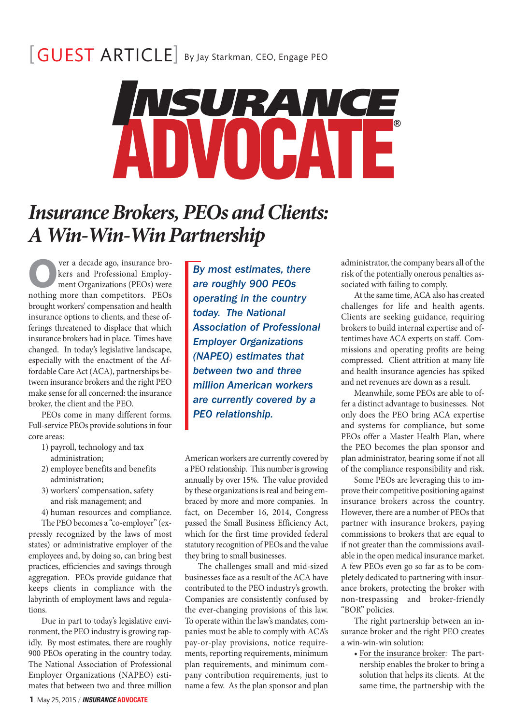## [GUEST ARTICLE] By Jay Starkman, CEO, Engage PEO



## *Insurance Brokers, PEOs and Clients: A Win-Win-Win Partnership*

**O**ver a decade ago, insurance bro-<br>kers and Professional Employ-<br>ment Organizations (PEOs) were<br>nothing more than competitors PEOs kers and Professional Employment Organizations (PEOs) were nothing more than competitors. PEOs brought workers' compensation and health insurance options to clients, and these offerings threatened to displace that which insurance brokers had in place. Times have changed. In today's legislative landscape, especially with the enactment of the Affordable Care Act (ACA), partnerships between insurance brokers and the right PEO make sense for all concerned: the insurance broker, the client and the PEO.

PEOs come in many different forms. Full-service PEOs provide solutions in four core areas:

- 1) payroll, technology and tax administration;
- 2) employee benefits and benefits administration;
- 3) workers' compensation, safety and risk management; and

4) human resources and compliance.

The PEO becomes a "co-employer" (expressly recognized by the laws of most states) or administrative employer of the employees and, by doing so, can bring best practices, efficiencies and savings through aggregation. PEOs provide guidance that keeps clients in compliance with the labyrinth of employment laws and regulations.

Due in part to today's legislative environment, the PEO industry is growing rapidly. By most estimates, there are roughly 900 PEOs operating in the country today. The National Association of Professional Employer Organizations (NAPEO) estimates that between two and three million By most estimates, there are roughly 900 PEOs operating in the country today. The National Association of Professional Employer Organizations (NAPEO) estimates that between two and three million American workers are currently covered by a PEO relationship.

American workers are currently covered by a PEO relationship. This number is growing annually by over 15%. The value provided by these organizations is real and being embraced by more and more companies. In fact, on December 16, 2014, Congress passed the Small Business Efficiency Act, which for the first time provided federal statutory recognition of PEOs and the value they bring to small businesses.

The challenges small and mid-sized businesses face as a result of the ACA have contributed to the PEO industry's growth. Companies are consistently confused by the ever-changing provisions of this law. To operate within the law's mandates, companies must be able to comply with ACA's pay-or-play provisions, notice requirements, reporting requirements, minimum plan requirements, and minimum company contribution requirements, just to name a few. As the plan sponsor and plan

administrator, the company bears all of the risk of the potentially onerous penalties associated with failing to comply.

At the same time, ACA also has created challenges for life and health agents. Clients are seeking guidance, requiring brokers to build internal expertise and oftentimes have ACA experts on staff. Commissions and operating profits are being compressed. Client attrition at many life and health insurance agencies has spiked and net revenues are down as a result.

Meanwhile, some PEOs are able to offer a distinct advantage to businesses. Not only does the PEO bring ACA expertise and systems for compliance, but some PEOs offer a Master Health Plan, where the PEO becomes the plan sponsor and plan administrator, bearing some if not all of the compliance responsibility and risk.

Some PEOs are leveraging this to improve their competitive positioning against insurance brokers across the country. However, there are a number of PEOs that partner with insurance brokers, paying commissions to brokers that are equal to if not greater than the commissions available in the open medical insurance market. A few PEOs even go so far as to be completely dedicated to partnering with insurance brokers, protecting the broker with non-trespassing and broker-friendly "BOR" policies.

The right partnership between an insurance broker and the right PEO creates a win-win-win solution:

• For the insurance broker: The partnership enables the broker to bring a solution that helps its clients. At the same time, the partnership with the